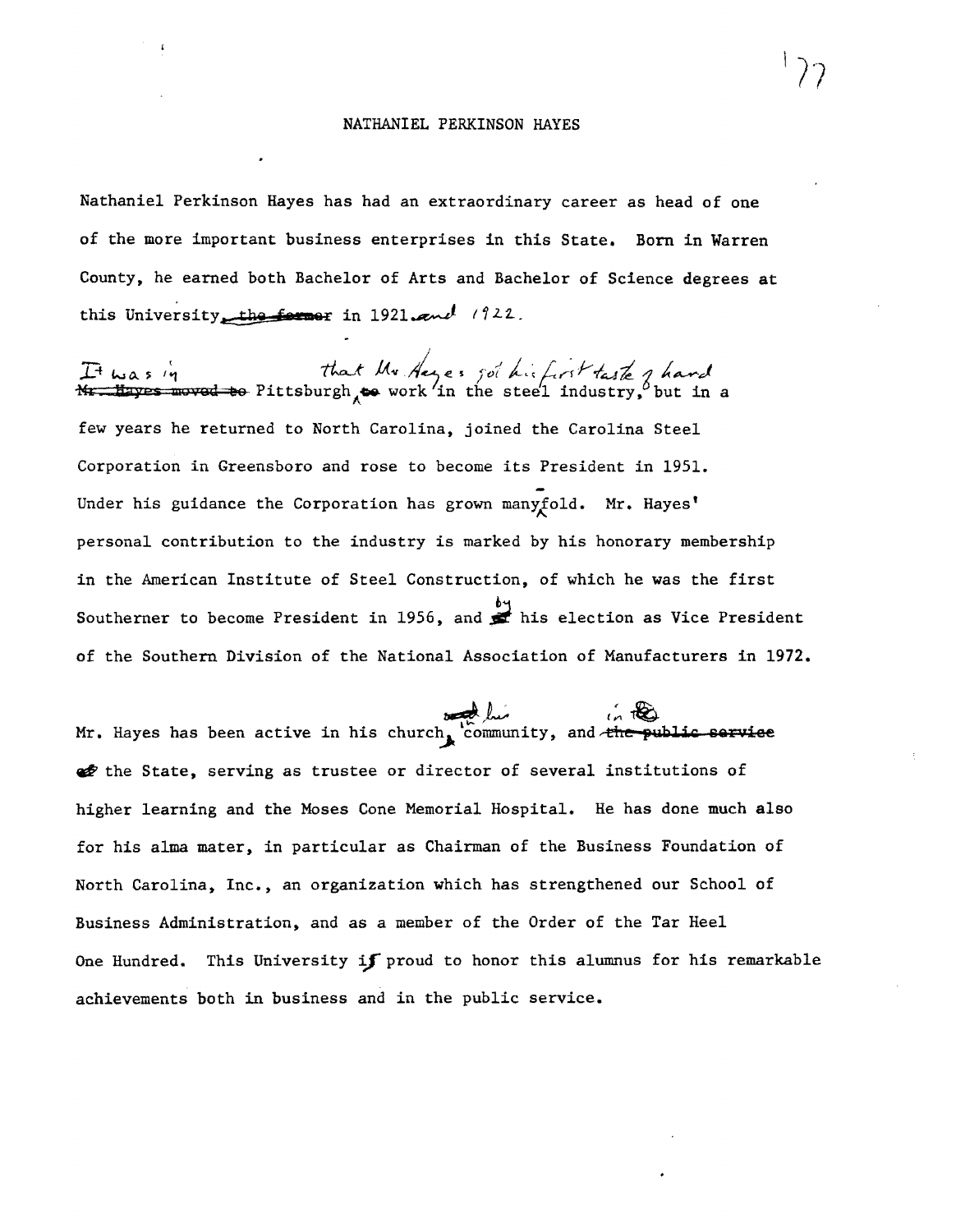#### NATHANIEL PERKINSON HAYES

 $122$ 

Nathaniel Perkinson Hayes has had an extraordinary career as head of one of the more important business enterprises in this State. Born in Warren County, he earned both Bachelor of Arts and Bachelor of Science degrees at this University the former in 1921 and 1922.

 $\mathcal{I}^+$  was  $\mathcal{I}^+$ N<del>r Hayes moved to</del> few years he returned to North Carolina, joined the Carolina Steel Corporation in Greensboro and rose to become its President in 1951. Under his guidance the Corporation has grown manyfold. Mr. Hayes' personal contribution to the industry is marked by his honorary membership in the American Institute of Steel Construction, of which he was the first Southerner to become President in 1956, and  $\frac{b}{2}$  his election as Vice President of the Southern Division of the National Association of Manufacturers in 1972.

when we have in his church with the public service in this church community, and the public service the State, serving as trustee or director of several institutions of higher learning and the Moses Cone Memorial Hospital. He has done much also for his alma mater, in particular as Chairman of the Business Foundation of North Carolina, Inc., an organization which has strengthened our School of Business Administration, and as a member of the Order of the Tar Heel One Hundred. This University if proud to honor this alumnus for his remarkable achievements both in business and in the public service.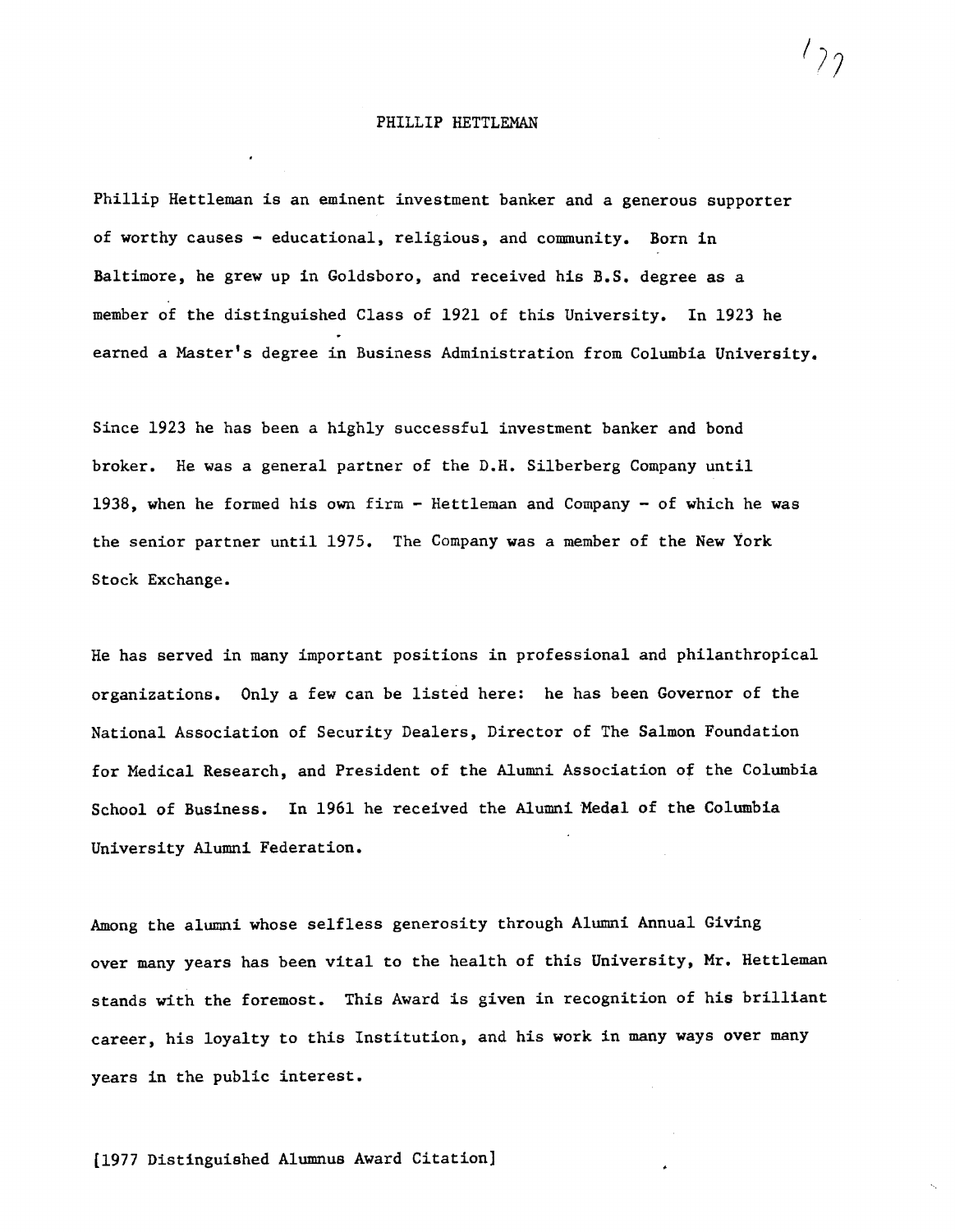### PHILLIP HETTLEMAN

 $\frac{1}{2}$ 

Phillip Hett1eman is an eminent investment banker and a generous supporter of worthy causes - educational, religious, and community. Born in Baltimore, he grew up in Goldsboro, and received his B.S. degree as a member of the distinguished Class of 1921 of this University. In 1923 he earned a Master's degree in Business Administration from Columbia University.

Since 1923 he has been a highly successful investment banker and bond broker. He was a general partner of the D.H. Silberberg Company until 1938, when he formed his own firm - Hett1eman and Company - of which he was the senior partner until 1975. The Company was a member of the New York Stock Exchange.

He has served in many important positions in professional and phi1anthropica1 organizations. Only a few can be listed here: he has been Governor of the National Association of Security Dealers, Director of The Salmon Foundation for Medical Research, and President of the Alumni Association of the Columbia School of Business. In 1961 he received the Alumni Medal of the Columbia University Alumni Federation.

Among the alumni whose selfless generosity through Alumni Annual Giving over many years has been vital to the health of this University, Mr. Hettleman stands with the foremost. This Award is given in recognition of his brilliant career, his loyalty to this Institution, and his work in many ways over many years in the public interest.

[1977 Distinguished Alumnus Award Citation]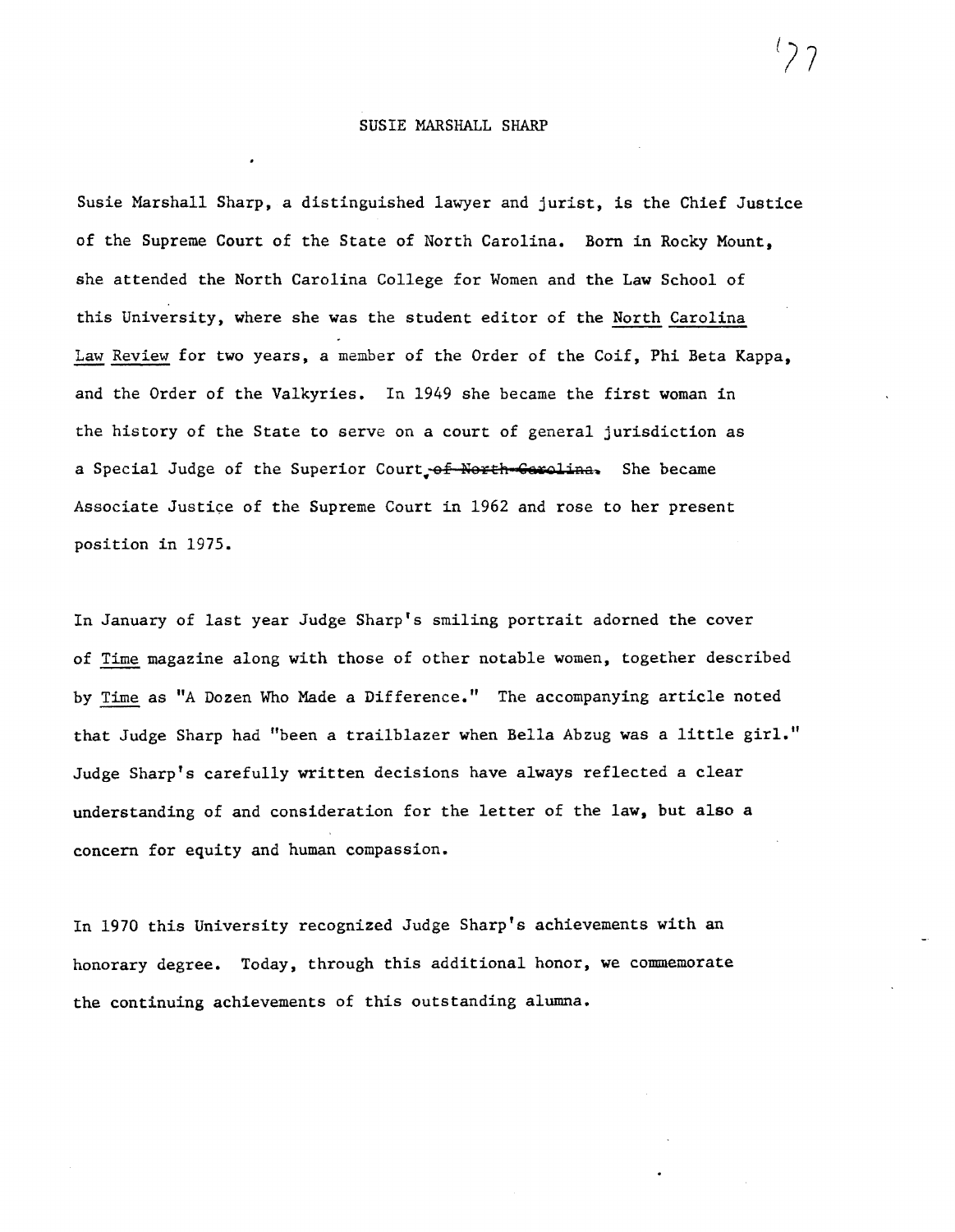## SUSIE MARSHALL SHARP

Susie Marshall Sharp, a distinguished lawyer and jurist, is the Chief Justice of the Supreme Court of the State of North Carolina. Born in Rocky Mount, she attended the North Carolina College for Women and the Law School of this University, where she was the student editor of the North Carolina Law Review for two years, a member of the Order of the Coif, Phi Beta Kappa, and the Order of the Va1kyries. In 1949 she became the first woman in the history of the State to serve on a court of general jurisdiction as a Special Judge of the Superior Court\_of North Carolina. She became Associate Justice of the Supreme Court in 1962 and rose to her present position in 1975.

In January of last year Judge Sharp's smiling portrait adorned the cover of Time magazine along with those of other notable women, together described by Time as "A Dozen Who Made a Difference." The accompanying article noted that Judge Sharp had "been a trailblazer when Bella Abzug was a little girl." Judge Sharp's carefully written decisions have always reflected a clear understanding of and consideration for the letter of the law, but also a concern for equity and human compassion.

In 1970 this University recognized Judge Sharp's achievements with an honorary degree. Today, through this additional honor, we commemorate the continuing achievements of this outstanding alumna.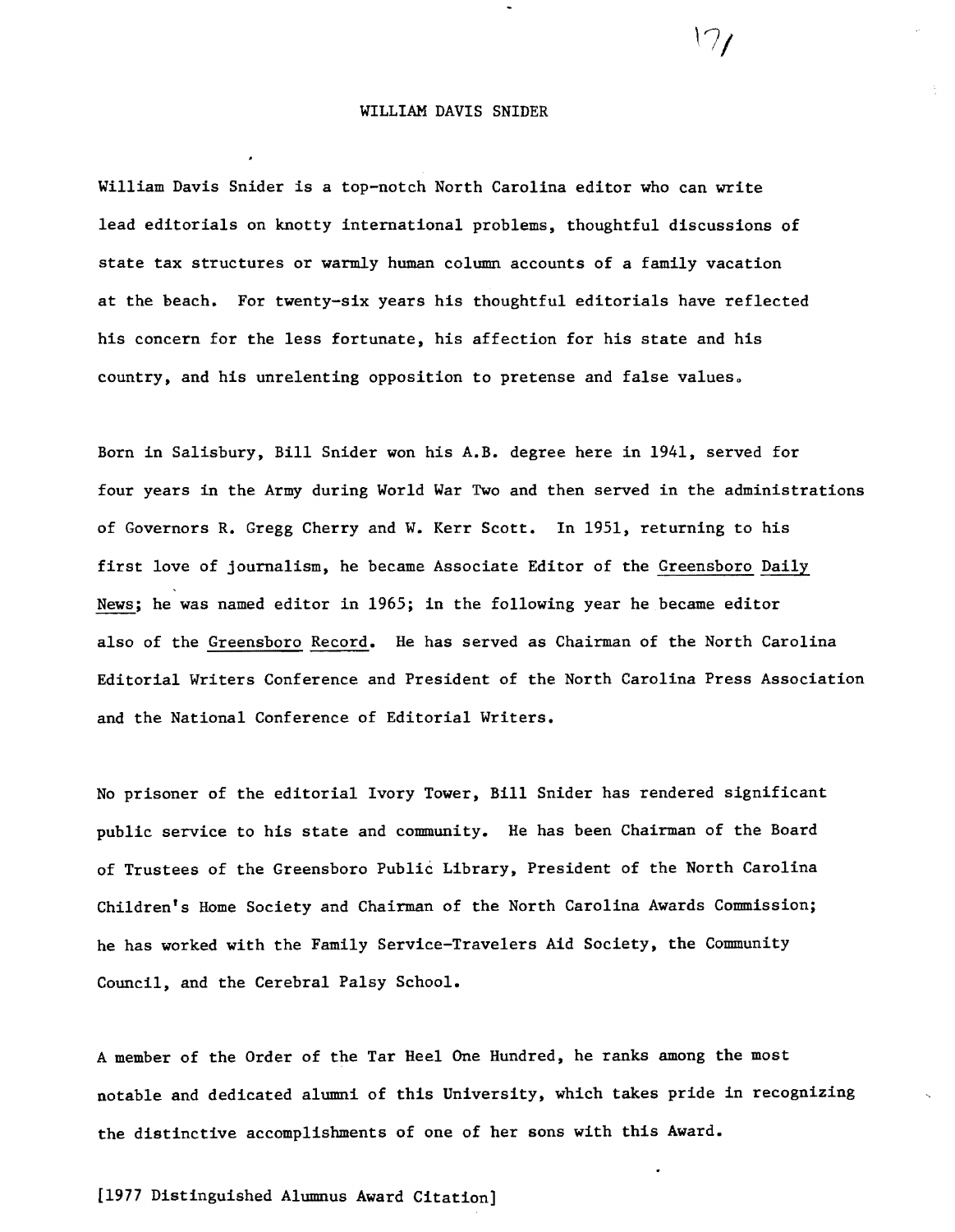#### WILLIAM DAVIS SNIDER

 $17/$ 

William Davis Snider is a top-notch North Carolina editor who can write lead editorials on knotty international problems, thoughtful discussions of state tax structures or warmly human column accounts of a family vacation at the beach. For twenty-six years his thoughtful editorials have reflected his concern for the less fortunate, his affection for his state and his country, and his unrelenting opposition to pretense and false values.

Born in Salisbury, Bill Snider won his A.B. degree here in 1941, served for four years in the Army during World War Two and then served in the administrations of Governors R. Gregg Cherry and **W.** Kerr Scott. In 1951, returning to his first love of journalism, he became Associate Editor of the Greensboro Daily News; he was named editor in 1965; in the following year he became editor also of the Greensboro Record. He has served as Chairman of the North Carolina Editorial Writers Conference and President of the North Carolina Press Association and the National Conference of Editorial Writers.

No prisoner of the editorial Ivory Tower, Bill Snider has rendered significant public service to his state and community. He has been Chairman of the Board of Trustees of the Greensboro Public Library, President of the North Carolina Children's Home Society and Chairman of the North Carolina Awards Commission; he has worked with the Family Service-Travelers Aid Society, the Community Council, and the Cerebral Palsy School.

A member of the Order of the Tar Heel One Hundred, he ranks among the most notable and dedicated alumni of this University, which takes pride in recognizing the distinctive accomplishments of one of her sons with this Award.

# [1977 Distinguished Alumnus Award Citation]